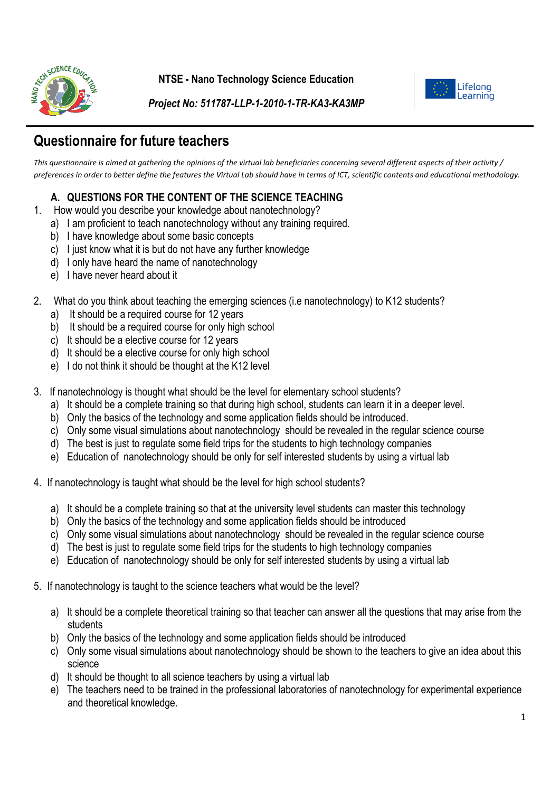

**NTSE - Nano Technology Science Education**



*Project No: 511787-LLP-1-2010-1-TR-KA3-KA3MP*

# **Questionnaire for future teachers**

*This questionnaire is aimed at gathering the opinions of the virtual lab beneficiaries concerning several different aspects of their activity / preferences in order to better define the features the Virtual Lab should have in terms of ICT, scientific contents and educational methodology.*

### **A. QUESTIONS FOR THE CONTENT OF THE SCIENCE TEACHING**

- 1. How would you describe your knowledge about nanotechnology?
	- a) I am proficient to teach nanotechnology without any training required.
	- b) I have knowledge about some basic concepts
	- c) I just know what it is but do not have any further knowledge
	- d) I only have heard the name of nanotechnology
	- e) I have never heard about it
- 2. What do you think about teaching the emerging sciences (i.e nanotechnology) to K12 students?
	- a) It should be a required course for 12 years
	- b) It should be a required course for only high school
	- c) It should be a elective course for 12 years
	- d) It should be a elective course for only high school
	- e) I do not think it should be thought at the K12 level
- 3. If nanotechnology is thought what should be the level for elementary school students?
	- a) It should be a complete training so that during high school, students can learn it in a deeper level.
	- b) Only the basics of the technology and some application fields should be introduced.
	- c) Only some visual simulations about nanotechnology should be revealed in the regular science course
	- d) The best is just to regulate some field trips for the students to high technology companies
	- e) Education of nanotechnology should be only for self interested students by using a virtual lab
- 4. If nanotechnology is taught what should be the level for high school students?
	- a) It should be a complete training so that at the university level students can master this technology
	- b) Only the basics of the technology and some application fields should be introduced
	- c) Only some visual simulations about nanotechnology should be revealed in the regular science course
	- d) The best is just to regulate some field trips for the students to high technology companies
	- e) Education of nanotechnology should be only for self interested students by using a virtual lab
- 5. If nanotechnology is taught to the science teachers what would be the level?
	- a) It should be a complete theoretical training so that teacher can answer all the questions that may arise from the students
	- b) Only the basics of the technology and some application fields should be introduced
	- c) Only some visual simulations about nanotechnology should be shown to the teachers to give an idea about this science
	- d) It should be thought to all science teachers by using a virtual lab
	- e) The teachers need to be trained in the professional laboratories of nanotechnology for experimental experience and theoretical knowledge.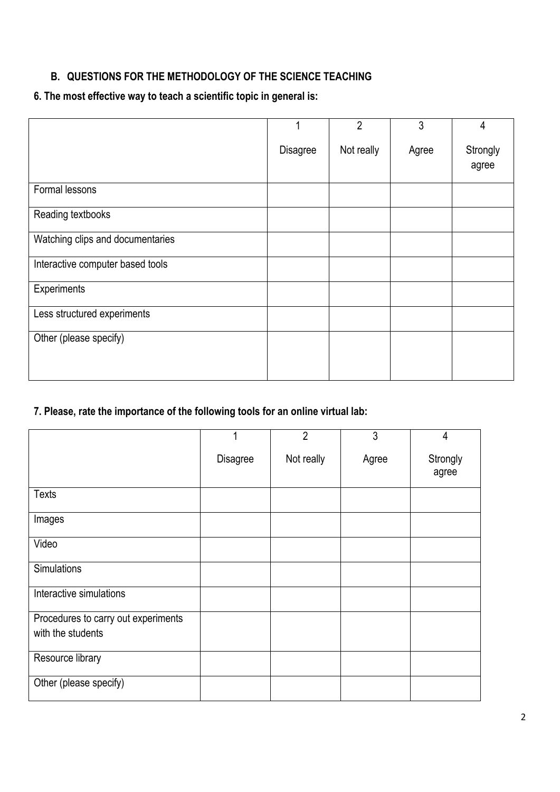### **B. QUESTIONS FOR THE METHODOLOGY OF THE SCIENCE TEACHING**

### **6. The most effective way to teach a scientific topic in general is:**

|                                  |                 | $\overline{2}$ | 3     | 4                 |
|----------------------------------|-----------------|----------------|-------|-------------------|
|                                  | <b>Disagree</b> | Not really     | Agree | Strongly<br>agree |
| Formal lessons                   |                 |                |       |                   |
| Reading textbooks                |                 |                |       |                   |
| Watching clips and documentaries |                 |                |       |                   |
| Interactive computer based tools |                 |                |       |                   |
| Experiments                      |                 |                |       |                   |
| Less structured experiments      |                 |                |       |                   |
| Other (please specify)           |                 |                |       |                   |
|                                  |                 |                |       |                   |

## **7. Please, rate the importance of the following tools for an online virtual lab:**

|                                     | 1               | $\overline{2}$ | 3     | 4                 |
|-------------------------------------|-----------------|----------------|-------|-------------------|
|                                     | <b>Disagree</b> | Not really     | Agree | Strongly<br>agree |
| <b>Texts</b>                        |                 |                |       |                   |
| Images                              |                 |                |       |                   |
| Video                               |                 |                |       |                   |
| <b>Simulations</b>                  |                 |                |       |                   |
| Interactive simulations             |                 |                |       |                   |
| Procedures to carry out experiments |                 |                |       |                   |
| with the students                   |                 |                |       |                   |
| Resource library                    |                 |                |       |                   |
| Other (please specify)              |                 |                |       |                   |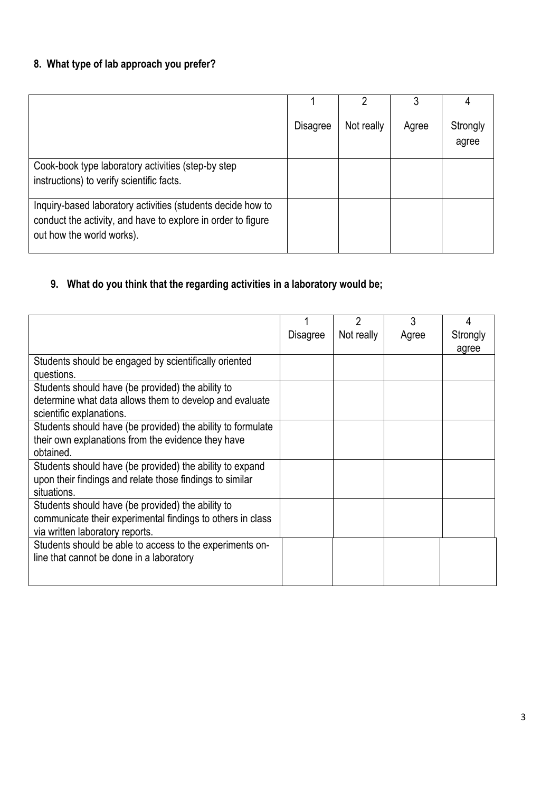## **8. What type of lab approach you prefer?**

|                                                                                                                                                          |                 |            | 3     | 4                 |
|----------------------------------------------------------------------------------------------------------------------------------------------------------|-----------------|------------|-------|-------------------|
|                                                                                                                                                          | <b>Disagree</b> | Not really | Agree | Strongly<br>agree |
| Cook-book type laboratory activities (step-by step<br>instructions) to verify scientific facts.                                                          |                 |            |       |                   |
| Inquiry-based laboratory activities (students decide how to<br>conduct the activity, and have to explore in order to figure<br>out how the world works). |                 |            |       |                   |

## **9. What do you think that the regarding activities in a laboratory would be;**

|                                                             |          | $\overline{2}$ | 3     | 4        |
|-------------------------------------------------------------|----------|----------------|-------|----------|
|                                                             | Disagree | Not really     | Agree | Strongly |
|                                                             |          |                |       | agree    |
| Students should be engaged by scientifically oriented       |          |                |       |          |
| questions.                                                  |          |                |       |          |
| Students should have (be provided) the ability to           |          |                |       |          |
| determine what data allows them to develop and evaluate     |          |                |       |          |
| scientific explanations.                                    |          |                |       |          |
| Students should have (be provided) the ability to formulate |          |                |       |          |
| their own explanations from the evidence they have          |          |                |       |          |
| obtained.                                                   |          |                |       |          |
| Students should have (be provided) the ability to expand    |          |                |       |          |
| upon their findings and relate those findings to similar    |          |                |       |          |
| situations.                                                 |          |                |       |          |
| Students should have (be provided) the ability to           |          |                |       |          |
| communicate their experimental findings to others in class  |          |                |       |          |
| via written laboratory reports.                             |          |                |       |          |
| Students should be able to access to the experiments on-    |          |                |       |          |
| line that cannot be done in a laboratory                    |          |                |       |          |
|                                                             |          |                |       |          |
|                                                             |          |                |       |          |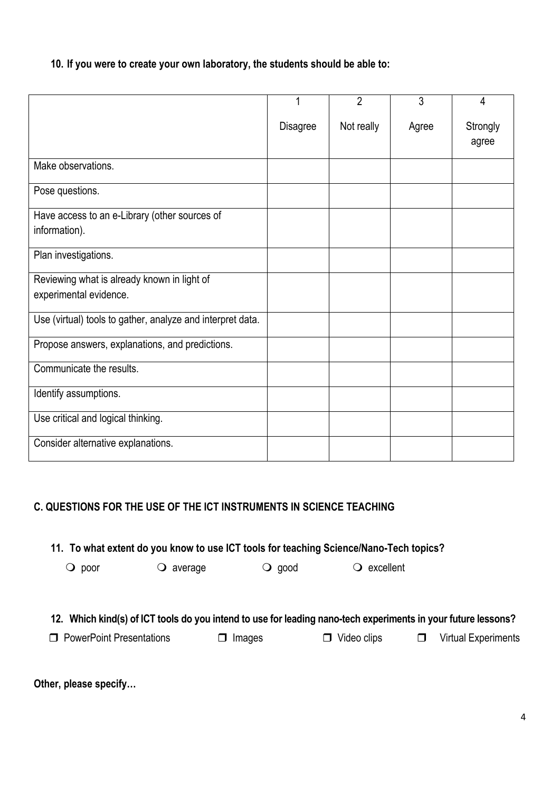**10. If you were to create your own laboratory, the students should be able to:** 

|                                                            |                 | $\overline{2}$ | 3     | 4                 |
|------------------------------------------------------------|-----------------|----------------|-------|-------------------|
|                                                            | <b>Disagree</b> | Not really     | Agree | Strongly<br>agree |
| Make observations.                                         |                 |                |       |                   |
| Pose questions.                                            |                 |                |       |                   |
| Have access to an e-Library (other sources of              |                 |                |       |                   |
| information).                                              |                 |                |       |                   |
| Plan investigations.                                       |                 |                |       |                   |
| Reviewing what is already known in light of                |                 |                |       |                   |
| experimental evidence.                                     |                 |                |       |                   |
| Use (virtual) tools to gather, analyze and interpret data. |                 |                |       |                   |
| Propose answers, explanations, and predictions.            |                 |                |       |                   |
| Communicate the results.                                   |                 |                |       |                   |
| Identify assumptions.                                      |                 |                |       |                   |
| Use critical and logical thinking.                         |                 |                |       |                   |
| Consider alternative explanations.                         |                 |                |       |                   |

### **C. QUESTIONS FOR THE USE OF THE ICT INSTRUMENTS IN SCIENCE TEACHING**

**11. To what extent do you know to use ICT tools for teaching Science/Nano-Tech topics?** 

O poor C average C good C excellent

### **12. Which kind(s) of ICT tools do you intend to use for leading nano-tech experiments in your future lessons?**

□ PowerPoint Presentations □ Images □ Video clips □ Virtual Experiments

**Other, please specify…**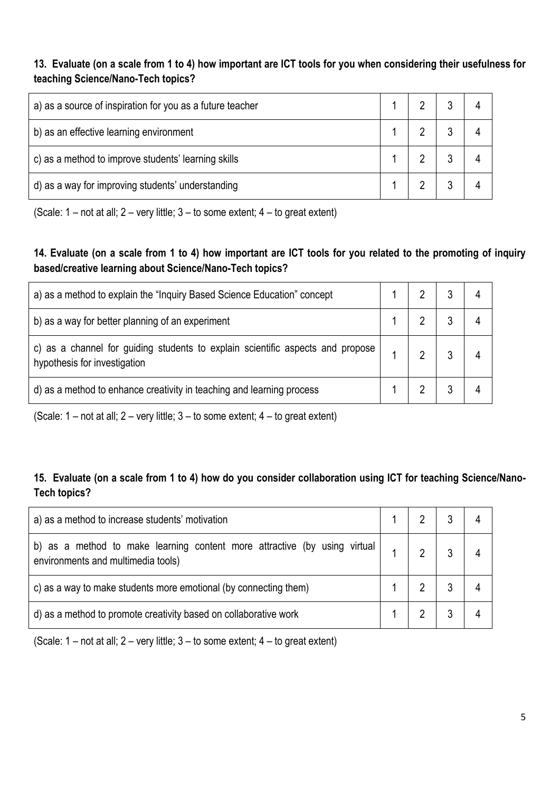**13. Evaluate (on a scale from 1 to 4) how important are ICT tools for you when considering their usefulness for teaching Science/Nano-Tech topics?**

| a) as a source of inspiration for you as a future teacher |  |  |
|-----------------------------------------------------------|--|--|
| b) as an effective learning environment                   |  |  |
| c) as a method to improve students' learning skills       |  |  |
| d) as a way for improving students' understanding         |  |  |

(Scale:  $1$  – not at all;  $2$  – very little;  $3$  – to some extent;  $4$  – to great extent)

### **14. Evaluate (on a scale from 1 to 4) how important are ICT tools for you related to the promoting of inquiry based/creative learning about Science/Nano-Tech topics?**

| a) as a method to explain the "Inquiry Based Science Education" concept                                        |  |  |
|----------------------------------------------------------------------------------------------------------------|--|--|
| b) as a way for better planning of an experiment                                                               |  |  |
| c) as a channel for guiding students to explain scientific aspects and propose<br>hypothesis for investigation |  |  |
| d) as a method to enhance creativity in teaching and learning process                                          |  |  |

(Scale:  $1$  – not at all;  $2$  – very little;  $3$  – to some extent;  $4$  – to great extent)

### **15. Evaluate (on a scale from 1 to 4) how do you consider collaboration using ICT for teaching Science/Nano-Tech topics?**

| a) as a method to increase students' motivation                                                                 |  |  |
|-----------------------------------------------------------------------------------------------------------------|--|--|
| b) as a method to make learning content more attractive (by using virtual<br>environments and multimedia tools) |  |  |
| c) as a way to make students more emotional (by connecting them)                                                |  |  |
| d) as a method to promote creativity based on collaborative work                                                |  |  |

(Scale: 1 – not at all; 2 – very little; 3 – to some extent; 4 – to great extent)